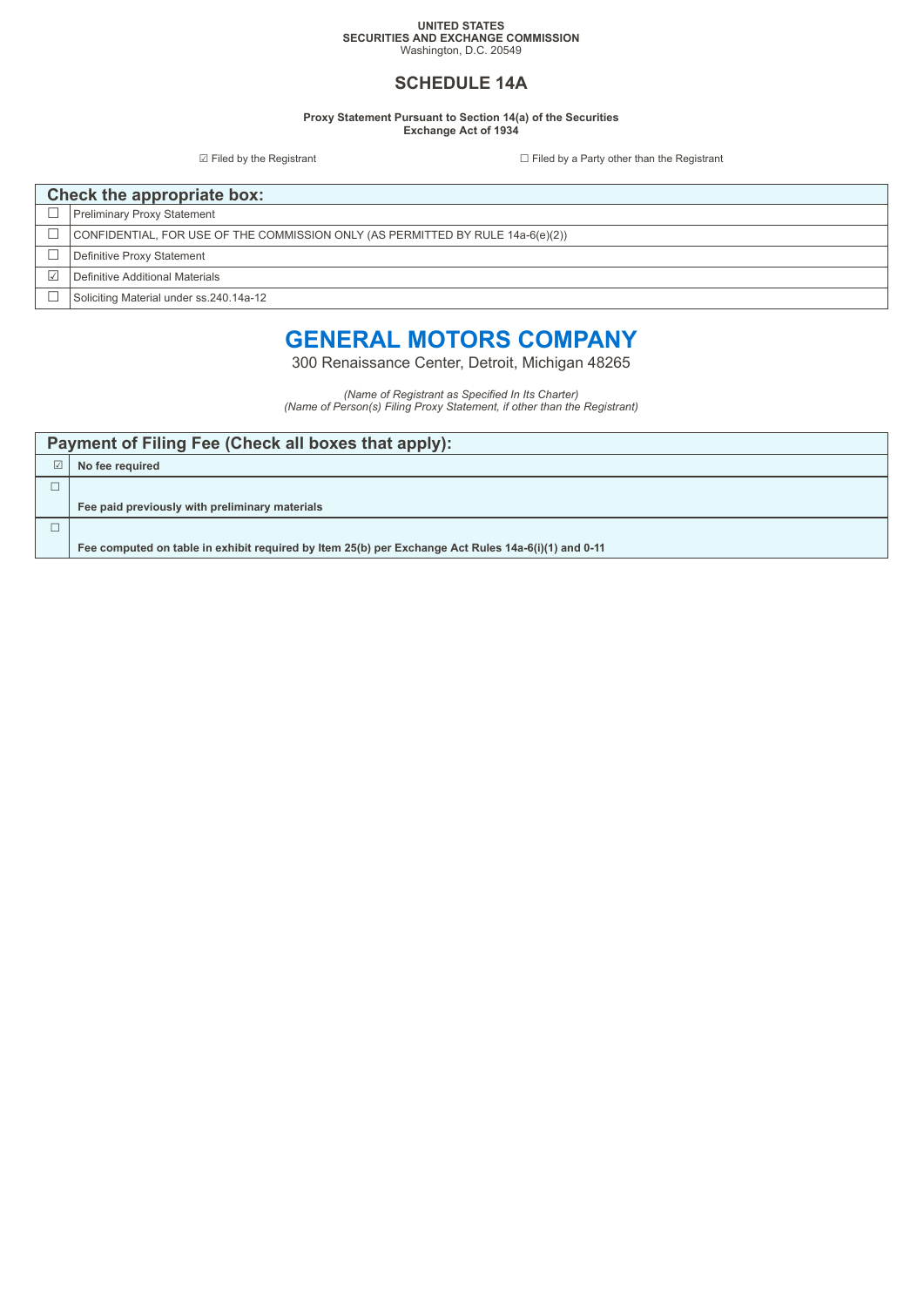#### **UNITED STATES SECURITIES AND EXCHANGE COMMISSION** Washington, D.C. 20549

### **SCHEDULE 14A**

**Proxy Statement Pursuant to Section 14(a) of the Securities Exchange Act of 1934**

☑ Filed by the Registrant ☐ Filed by a Party other than the Registrant

| Check the appropriate box: |                                                                                 |  |  |
|----------------------------|---------------------------------------------------------------------------------|--|--|
|                            | <b>Preliminary Proxy Statement</b>                                              |  |  |
|                            | CONFIDENTIAL, FOR USE OF THE COMMISSION ONLY (AS PERMITTED BY RULE 14a-6(e)(2)) |  |  |
|                            | Definitive Proxy Statement                                                      |  |  |
|                            | Definitive Additional Materials                                                 |  |  |
|                            | Soliciting Material under ss.240.14a-12                                         |  |  |

# **GENERAL MOTORS COMPANY**

300 Renaissance Center, Detroit, Michigan 48265

*(Name of Registrant as Specified In Its Charter) (Name of Person(s) Filing Proxy Statement, if other than the Registrant)*

|            | Payment of Filing Fee (Check all boxes that apply):                                                 |  |  |  |  |
|------------|-----------------------------------------------------------------------------------------------------|--|--|--|--|
| $\sqrt{ }$ | No fee required                                                                                     |  |  |  |  |
|            |                                                                                                     |  |  |  |  |
|            | Fee paid previously with preliminary materials                                                      |  |  |  |  |
|            |                                                                                                     |  |  |  |  |
|            | Fee computed on table in exhibit required by Item 25(b) per Exchange Act Rules 14a-6(i)(1) and 0-11 |  |  |  |  |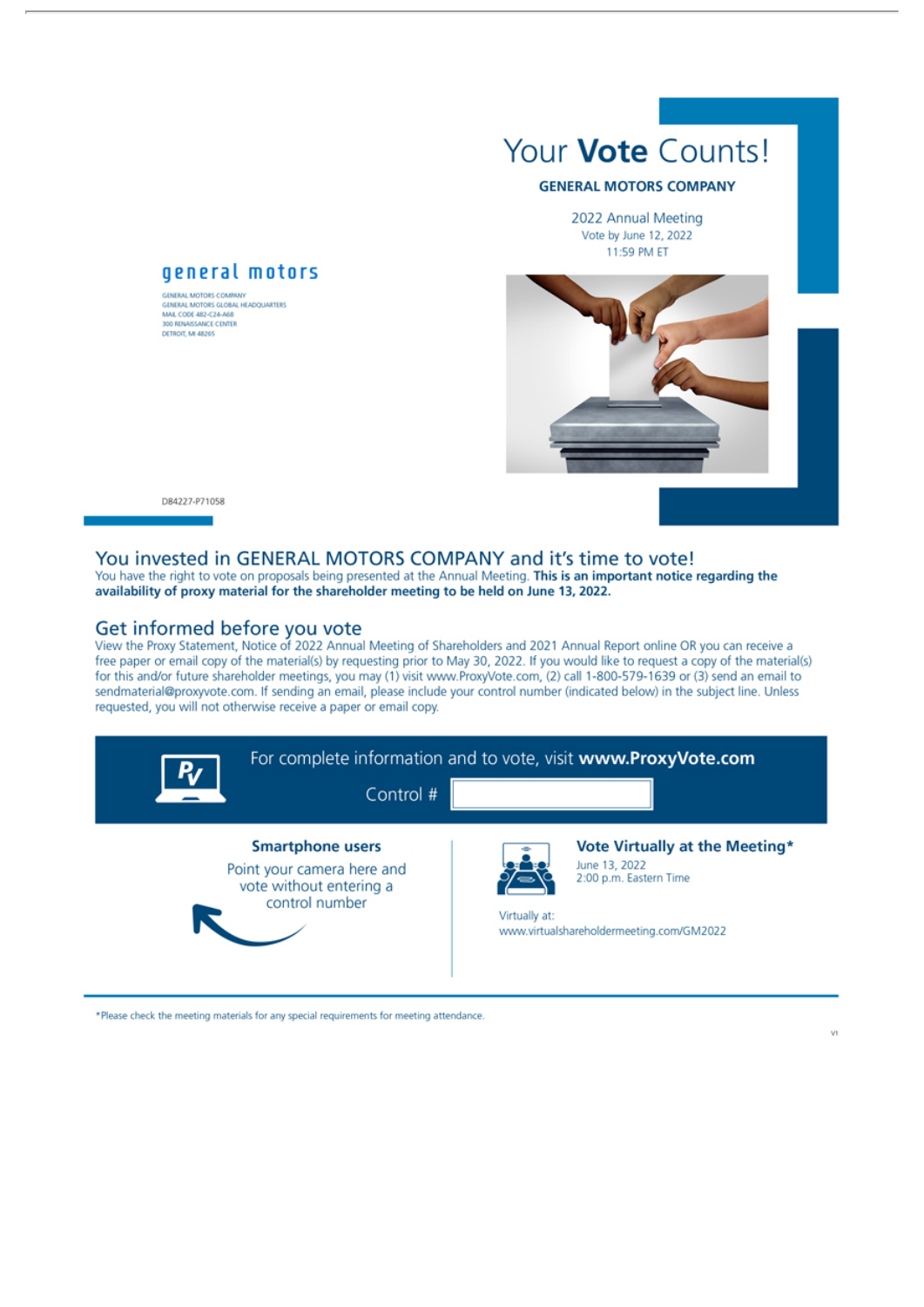

#### **GENERAL MOTORS COMPANY**

2022 Annual Meeting Vote by June 12, 2022 11:59 PM ET



D84227-P71058

#### You invested in GENERAL MOTORS COMPANY and it's time to vote!

You have the right to vote on proposals being presented at the Annual Meeting. This is an important notice regarding the availability of proxy material for the shareholder meeting to be held on June 13, 2022.

#### Get informed before you vote

general motors

GUNDAL MOTORS COMPANY<br>GIMERAL MOTORS GLOBAL HEADQUARTERS<br>MAR, CODE 482-C24-A68<br>300 RINASSANCE CENTER<br>DETROIT, MI 48265

GENERAL MOTORS COMBANY

View the Proxy Statement, Notice of 2022 Annual Meeting of Shareholders and 2021 Annual Report online OR you can receive a free paper or email copy of the material(s) by requesting prior to May 30, 2022. If you would like to request a copy of the material(s) for this and/or future shareholder meetings, you may (1) visit www.ProxyVote.com, (2) call 1-800-579-1639 or (3) send an email to sendmaterial@proxyvote.com. If sending an email, please include your control number (indicated below) in the subject line. Unless requested, you will not otherwise receive a paper or email copy.

| Ry | Control #                                                                                          |               | For complete information and to vote, visit www.ProxyVote.com                                                         |
|----|----------------------------------------------------------------------------------------------------|---------------|-----------------------------------------------------------------------------------------------------------------------|
|    | <b>Smartphone users</b><br>Point your camera here and<br>vote without entering a<br>control number | Virtually at: | Vote Virtually at the Meeting*<br>June 13, 2022<br>2:00 p.m. Eastern Time<br>www.virtualshareholdermeeting.com/GM2022 |

\*Please check the meeting materials for any special requirements for meeting attendance.